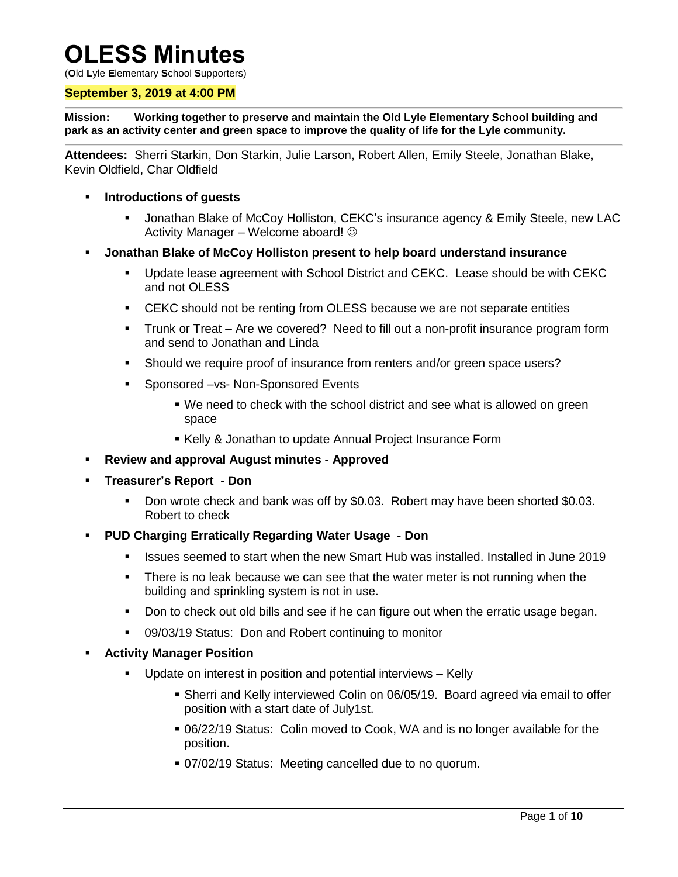# **OLESS Minutes**

(**O**ld **L**yle **E**lementary **S**chool **S**upporters)

#### **September 3, 2019 at 4:00 PM**

**Mission: Working together to preserve and maintain the Old Lyle Elementary School building and park as an activity center and green space to improve the quality of life for the Lyle community.**

**Attendees:** Sherri Starkin, Don Starkin, Julie Larson, Robert Allen, Emily Steele, Jonathan Blake, Kevin Oldfield, Char Oldfield

- **Introductions of guests** 
	- Jonathan Blake of McCoy Holliston, CEKC's insurance agency & Emily Steele, new LAC Activity Manager – Welcome aboard!
- **Jonathan Blake of McCoy Holliston present to help board understand insurance**
	- Update lease agreement with School District and CEKC. Lease should be with CEKC and not OLESS
	- CEKC should not be renting from OLESS because we are not separate entities
	- **Trunk or Treat** Are we covered? Need to fill out a non-profit insurance program form and send to Jonathan and Linda
	- Should we require proof of insurance from renters and/or green space users?
	- Sponsored –vs- Non-Sponsored Events
		- We need to check with the school district and see what is allowed on green space
		- **Kelly & Jonathan to update Annual Project Insurance Form**
- **Review and approval August minutes - Approved**
- **Treasurer's Report - Don**
	- Don wrote check and bank was off by \$0.03. Robert may have been shorted \$0.03. Robert to check
- **PUD Charging Erratically Regarding Water Usage - Don**
	- Issues seemed to start when the new Smart Hub was installed. Installed in June 2019
	- There is no leak because we can see that the water meter is not running when the building and sprinkling system is not in use.
	- Don to check out old bills and see if he can figure out when the erratic usage began.
	- 09/03/19 Status: Don and Robert continuing to monitor
- **Activity Manager Position**
	- Update on interest in position and potential interviews Kelly
		- Sherri and Kelly interviewed Colin on 06/05/19. Board agreed via email to offer position with a start date of July1st.
		- 06/22/19 Status: Colin moved to Cook, WA and is no longer available for the position.
		- 07/02/19 Status: Meeting cancelled due to no quorum.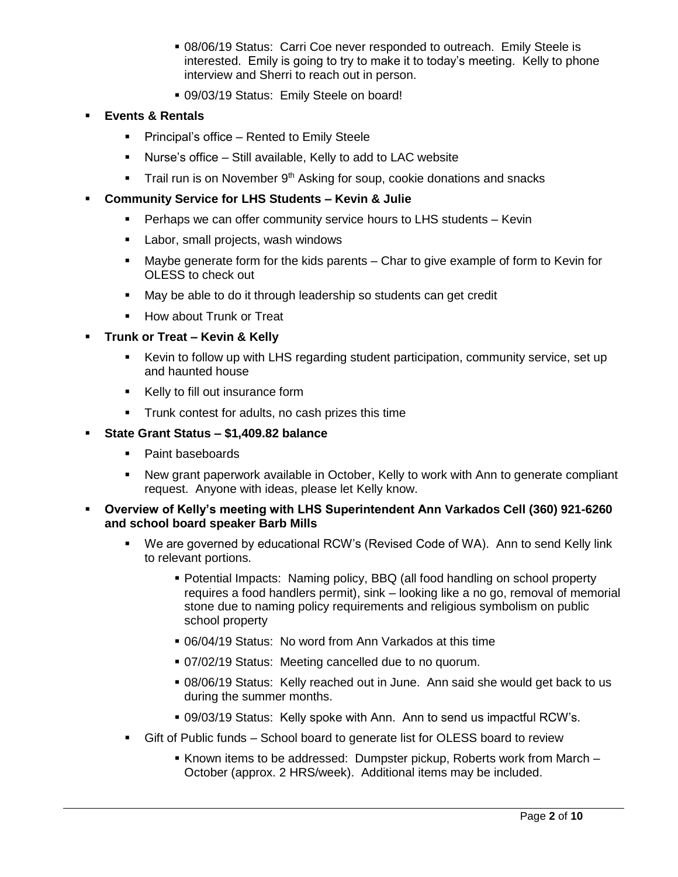- 08/06/19 Status: Carri Coe never responded to outreach. Emily Steele is interested. Emily is going to try to make it to today's meeting. Kelly to phone interview and Sherri to reach out in person.
- 09/03/19 Status: Emily Steele on board!
- **Events & Rentals**
	- **Principal's office Rented to Emily Steele**
	- Nurse's office Still available, Kelly to add to LAC website
	- Trail run is on November 9<sup>th</sup> Asking for soup, cookie donations and snacks
- **Community Service for LHS Students – Kevin & Julie**
	- **Perhaps we can offer community service hours to LHS students Kevin**
	- Labor, small projects, wash windows
	- Maybe generate form for the kids parents Char to give example of form to Kevin for OLESS to check out
	- May be able to do it through leadership so students can get credit
	- **How about Trunk or Treat**

# **Trunk or Treat – Kevin & Kelly**

- Kevin to follow up with LHS regarding student participation, community service, set up and haunted house
- Kelly to fill out insurance form
- Trunk contest for adults, no cash prizes this time

# **State Grant Status – \$1,409.82 balance**

- Paint baseboards
- New grant paperwork available in October, Kelly to work with Ann to generate compliant request. Anyone with ideas, please let Kelly know.
- **Overview of Kelly's meeting with LHS Superintendent Ann Varkados Cell (360) 921-6260 and school board speaker Barb Mills**
	- We are governed by educational RCW's (Revised Code of WA). Ann to send Kelly link to relevant portions.
		- Potential Impacts: Naming policy, BBQ (all food handling on school property requires a food handlers permit), sink – looking like a no go, removal of memorial stone due to naming policy requirements and religious symbolism on public school property
		- 06/04/19 Status: No word from Ann Varkados at this time
		- 07/02/19 Status: Meeting cancelled due to no quorum.
		- 08/06/19 Status: Kelly reached out in June. Ann said she would get back to us during the summer months.
		- 09/03/19 Status: Kelly spoke with Ann. Ann to send us impactful RCW's.
	- Gift of Public funds School board to generate list for OLESS board to review
		- Known items to be addressed: Dumpster pickup, Roberts work from March -October (approx. 2 HRS/week). Additional items may be included.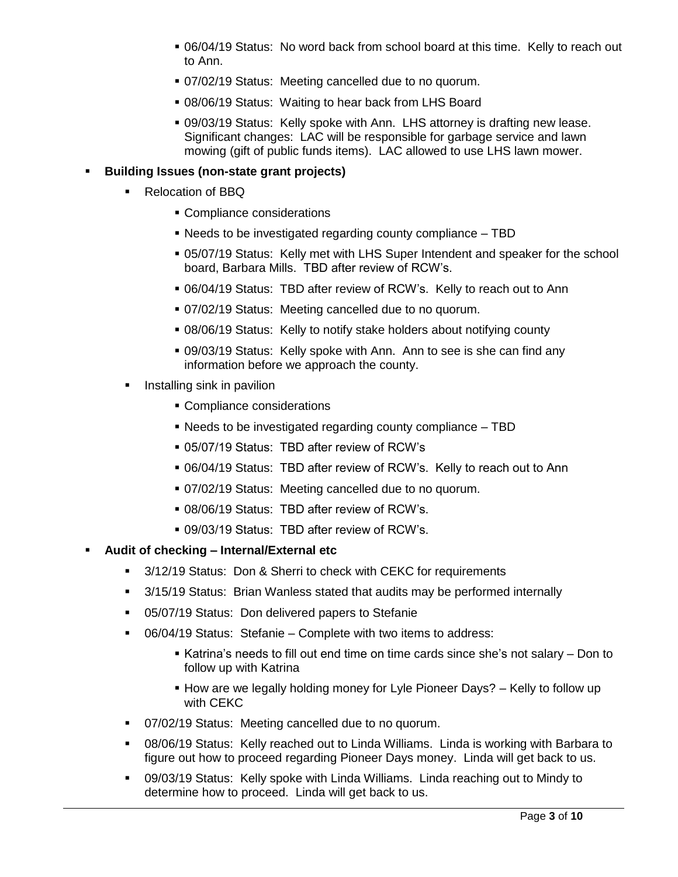- 06/04/19 Status: No word back from school board at this time. Kelly to reach out to Ann.
- 07/02/19 Status: Meeting cancelled due to no quorum.
- 08/06/19 Status: Waiting to hear back from LHS Board
- 09/03/19 Status: Kelly spoke with Ann. LHS attorney is drafting new lease. Significant changes: LAC will be responsible for garbage service and lawn mowing (gift of public funds items). LAC allowed to use LHS lawn mower.

# **Building Issues (non-state grant projects)**

- Relocation of BBQ
	- Compliance considerations
	- Needs to be investigated regarding county compliance TBD
	- 05/07/19 Status: Kelly met with LHS Super Intendent and speaker for the school board, Barbara Mills. TBD after review of RCW's.
	- 06/04/19 Status: TBD after review of RCW's. Kelly to reach out to Ann
	- 07/02/19 Status: Meeting cancelled due to no quorum.
	- 08/06/19 Status: Kelly to notify stake holders about notifying county
	- 09/03/19 Status: Kelly spoke with Ann. Ann to see is she can find any information before we approach the county.
- Installing sink in pavilion
	- Compliance considerations
	- Needs to be investigated regarding county compliance TBD
	- 05/07/19 Status: TBD after review of RCW's
	- 06/04/19 Status: TBD after review of RCW's. Kelly to reach out to Ann
	- 07/02/19 Status: Meeting cancelled due to no quorum.
	- 08/06/19 Status: TBD after review of RCW's.
	- 09/03/19 Status: TBD after review of RCW's.

# **Audit of checking – Internal/External etc**

- 3/12/19 Status: Don & Sherri to check with CEKC for requirements
- 3/15/19 Status: Brian Wanless stated that audits may be performed internally
- 05/07/19 Status: Don delivered papers to Stefanie
- 06/04/19 Status: Stefanie Complete with two items to address:
	- Katrina's needs to fill out end time on time cards since she's not salary Don to follow up with Katrina
	- How are we legally holding money for Lyle Pioneer Days? Kelly to follow up with CEKC
- 07/02/19 Status: Meeting cancelled due to no quorum.
- 08/06/19 Status: Kelly reached out to Linda Williams. Linda is working with Barbara to figure out how to proceed regarding Pioneer Days money. Linda will get back to us.
- 09/03/19 Status: Kelly spoke with Linda Williams. Linda reaching out to Mindy to determine how to proceed. Linda will get back to us.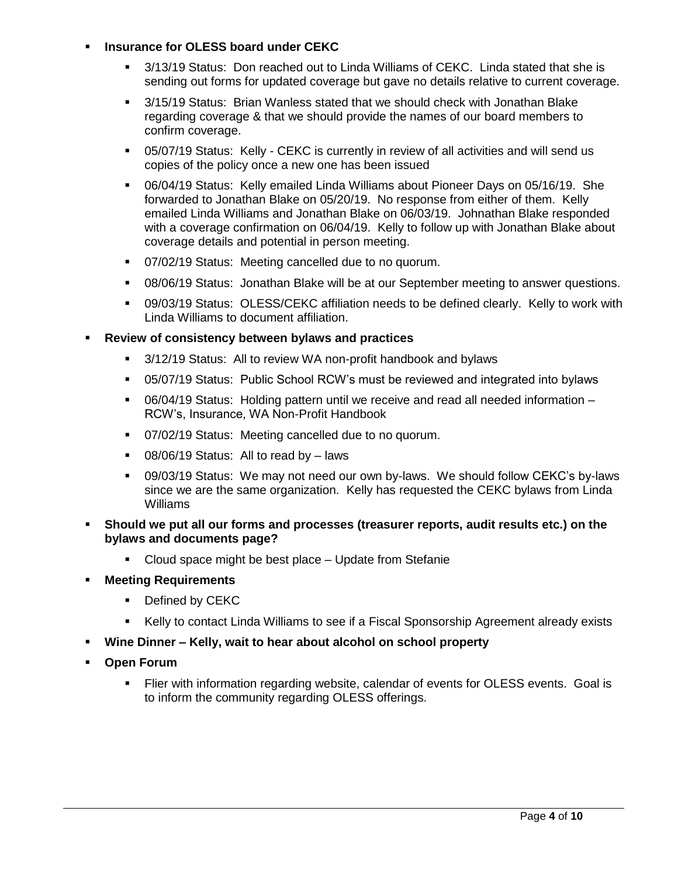## **Insurance for OLESS board under CEKC**

- 3/13/19 Status: Don reached out to Linda Williams of CEKC. Linda stated that she is sending out forms for updated coverage but gave no details relative to current coverage.
- 3/15/19 Status: Brian Wanless stated that we should check with Jonathan Blake regarding coverage & that we should provide the names of our board members to confirm coverage.
- 05/07/19 Status: Kelly CEKC is currently in review of all activities and will send us copies of the policy once a new one has been issued
- 06/04/19 Status: Kelly emailed Linda Williams about Pioneer Days on 05/16/19. She forwarded to Jonathan Blake on 05/20/19. No response from either of them. Kelly emailed Linda Williams and Jonathan Blake on 06/03/19. Johnathan Blake responded with a coverage confirmation on 06/04/19. Kelly to follow up with Jonathan Blake about coverage details and potential in person meeting.
- 07/02/19 Status: Meeting cancelled due to no quorum.
- 08/06/19 Status: Jonathan Blake will be at our September meeting to answer questions.
- 09/03/19 Status: OLESS/CEKC affiliation needs to be defined clearly. Kelly to work with Linda Williams to document affiliation.

## **Review of consistency between bylaws and practices**

- <sup>3</sup>/12/19 Status: All to review WA non-profit handbook and bylaws
- 05/07/19 Status: Public School RCW's must be reviewed and integrated into bylaws
- 06/04/19 Status: Holding pattern until we receive and read all needed information RCW's, Insurance, WA Non-Profit Handbook
- 07/02/19 Status: Meeting cancelled due to no quorum.
- 08/06/19 Status: All to read by laws
- 09/03/19 Status: We may not need our own by-laws. We should follow CEKC's by-laws since we are the same organization. Kelly has requested the CEKC bylaws from Linda Williams
- **Should we put all our forms and processes (treasurer reports, audit results etc.) on the bylaws and documents page?**
	- **Cloud space might be best place Update from Stefanie**
- **Meeting Requirements**
	- Defined by CEKC
	- Kelly to contact Linda Williams to see if a Fiscal Sponsorship Agreement already exists
- **Wine Dinner – Kelly, wait to hear about alcohol on school property**
- **Open Forum** 
	- Flier with information regarding website, calendar of events for OLESS events. Goal is to inform the community regarding OLESS offerings.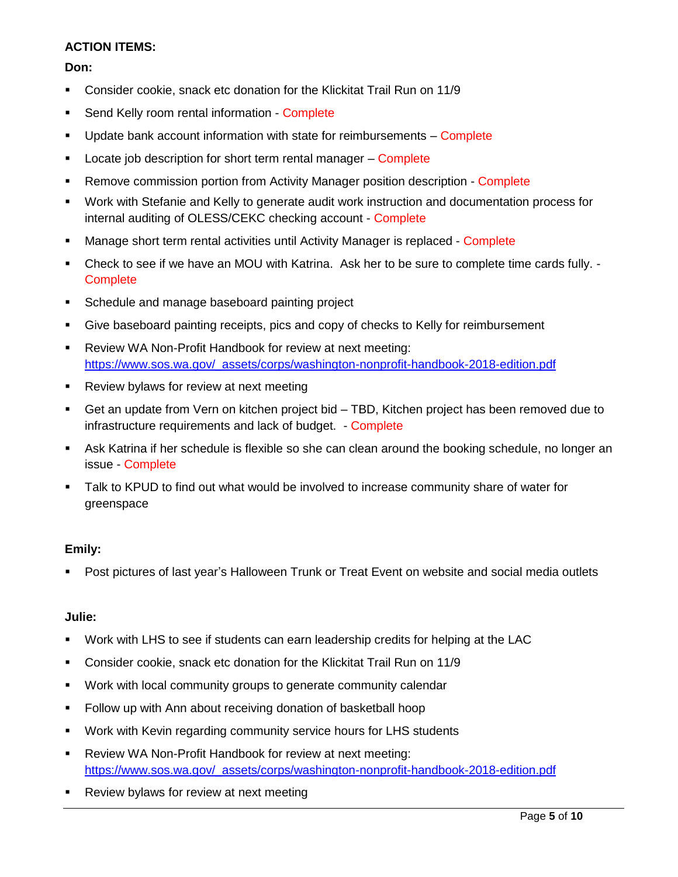# **ACTION ITEMS:**

## **Don:**

- Consider cookie, snack etc donation for the Klickitat Trail Run on 11/9
- **Send Kelly room rental information Complete**
- Update bank account information with state for reimbursements Complete
- **-** Locate job description for short term rental manager Complete
- **Remove commission portion from Activity Manager position description Complete**
- Work with Stefanie and Kelly to generate audit work instruction and documentation process for internal auditing of OLESS/CEKC checking account - Complete
- **Manage short term rental activities until Activity Manager is replaced Complete**
- Check to see if we have an MOU with Katrina. Ask her to be sure to complete time cards fully. **Complete**
- **Schedule and manage baseboard painting project**
- Give baseboard painting receipts, pics and copy of checks to Kelly for reimbursement
- **-** Review WA Non-Profit Handbook for review at next meeting: [https://www.sos.wa.gov/\\_assets/corps/washington-nonprofit-handbook-2018-edition.pdf](https://www.sos.wa.gov/_assets/corps/washington-nonprofit-handbook-2018-edition.pdf)
- **Review bylaws for review at next meeting**
- Get an update from Vern on kitchen project bid TBD, Kitchen project has been removed due to infrastructure requirements and lack of budget. - Complete
- Ask Katrina if her schedule is flexible so she can clean around the booking schedule, no longer an issue - Complete
- Talk to KPUD to find out what would be involved to increase community share of water for greenspace

## **Emily:**

**Post pictures of last year's Halloween Trunk or Treat Event on website and social media outlets** 

## **Julie:**

- Work with LHS to see if students can earn leadership credits for helping at the LAC
- Consider cookie, snack etc donation for the Klickitat Trail Run on 11/9
- Work with local community groups to generate community calendar
- Follow up with Ann about receiving donation of basketball hoop
- **Work with Kevin regarding community service hours for LHS students**
- Review WA Non-Profit Handbook for review at next meeting: [https://www.sos.wa.gov/\\_assets/corps/washington-nonprofit-handbook-2018-edition.pdf](https://www.sos.wa.gov/_assets/corps/washington-nonprofit-handbook-2018-edition.pdf)
- Review bylaws for review at next meeting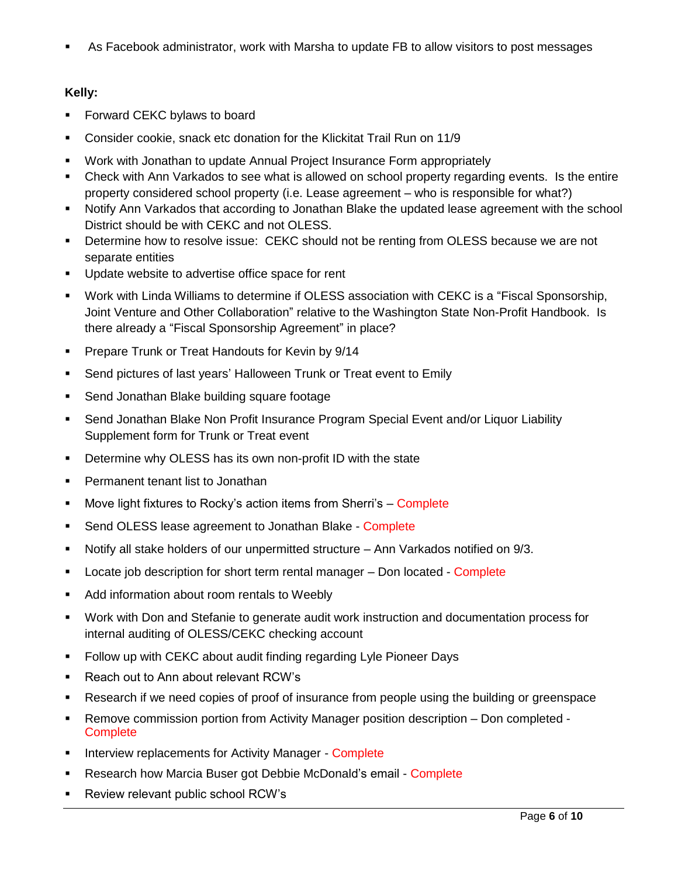As Facebook administrator, work with Marsha to update FB to allow visitors to post messages

# **Kelly:**

- **Forward CEKC bylaws to board**
- Consider cookie, snack etc donation for the Klickitat Trail Run on 11/9
- Work with Jonathan to update Annual Project Insurance Form appropriately
- Check with Ann Varkados to see what is allowed on school property regarding events. Is the entire property considered school property (i.e. Lease agreement – who is responsible for what?)
- Notify Ann Varkados that according to Jonathan Blake the updated lease agreement with the school District should be with CEKC and not OLESS.
- Determine how to resolve issue: CEKC should not be renting from OLESS because we are not separate entities
- **Update website to advertise office space for rent**
- Work with Linda Williams to determine if OLESS association with CEKC is a "Fiscal Sponsorship, Joint Venture and Other Collaboration" relative to the Washington State Non-Profit Handbook. Is there already a "Fiscal Sponsorship Agreement" in place?
- **Prepare Trunk or Treat Handouts for Kevin by 9/14**
- Send pictures of last years' Halloween Trunk or Treat event to Emily
- **Send Jonathan Blake building square footage**
- Send Jonathan Blake Non Profit Insurance Program Special Event and/or Liquor Liability Supplement form for Trunk or Treat event
- **•** Determine why OLESS has its own non-profit ID with the state
- **Permanent tenant list to Jonathan**
- **Move light fixtures to Rocky's action items from Sherri's Complete**
- **Send OLESS lease agreement to Jonathan Blake Complete**
- Notify all stake holders of our unpermitted structure Ann Varkados notified on 9/3.
- **Locate job description for short term rental manager Don located Complete**
- Add information about room rentals to Weebly
- Work with Don and Stefanie to generate audit work instruction and documentation process for internal auditing of OLESS/CEKC checking account
- **Follow up with CEKC about audit finding regarding Lyle Pioneer Days**
- Reach out to Ann about relevant RCW's
- Research if we need copies of proof of insurance from people using the building or greenspace
- Remove commission portion from Activity Manager position description Don completed **Complete**
- **Interview replacements for Activity Manager Complete**
- **Research how Marcia Buser got Debbie McDonald's email Complete**
- **Review relevant public school RCW's**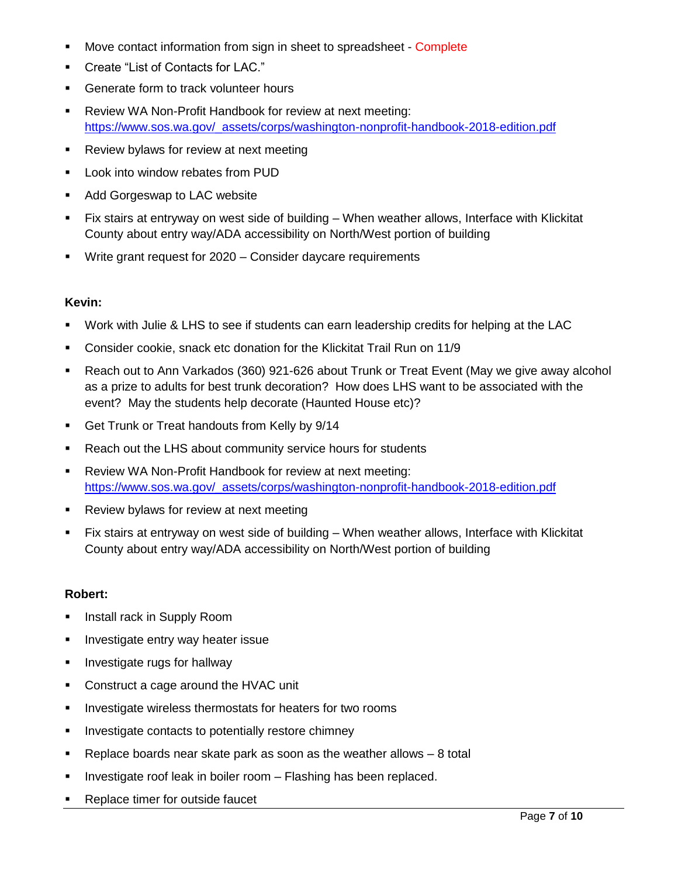- **Move contact information from sign in sheet to spreadsheet Complete**
- Create "List of Contacts for LAC."
- **Generate form to track volunteer hours**
- **Review WA Non-Profit Handbook for review at next meeting:** [https://www.sos.wa.gov/\\_assets/corps/washington-nonprofit-handbook-2018-edition.pdf](https://www.sos.wa.gov/_assets/corps/washington-nonprofit-handbook-2018-edition.pdf)
- **Review bylaws for review at next meeting**
- **Look into window rebates from PUD**
- **Add Gorgeswap to LAC website**
- Fix stairs at entryway on west side of building When weather allows, Interface with Klickitat County about entry way/ADA accessibility on North/West portion of building
- **Write grant request for 2020 Consider daycare requirements**

#### **Kevin:**

- Work with Julie & LHS to see if students can earn leadership credits for helping at the LAC
- Consider cookie, snack etc donation for the Klickitat Trail Run on 11/9
- Reach out to Ann Varkados (360) 921-626 about Trunk or Treat Event (May we give away alcohol as a prize to adults for best trunk decoration? How does LHS want to be associated with the event? May the students help decorate (Haunted House etc)?
- Get Trunk or Treat handouts from Kelly by 9/14
- **Reach out the LHS about community service hours for students**
- **-** Review WA Non-Profit Handbook for review at next meeting: [https://www.sos.wa.gov/\\_assets/corps/washington-nonprofit-handbook-2018-edition.pdf](https://www.sos.wa.gov/_assets/corps/washington-nonprofit-handbook-2018-edition.pdf)
- **Review bylaws for review at next meeting**
- Fix stairs at entryway on west side of building When weather allows, Interface with Klickitat County about entry way/ADA accessibility on North/West portion of building

#### **Robert:**

- **Install rack in Supply Room**
- **Investigate entry way heater issue**
- **Investigate rugs for hallway**
- **Construct a cage around the HVAC unit**
- **Investigate wireless thermostats for heaters for two rooms**
- **Investigate contacts to potentially restore chimney**
- **Parage 2** Replace boards near skate park as soon as the weather allows  $-8$  total
- **Investigate roof leak in boiler room Flashing has been replaced.**
- Replace timer for outside faucet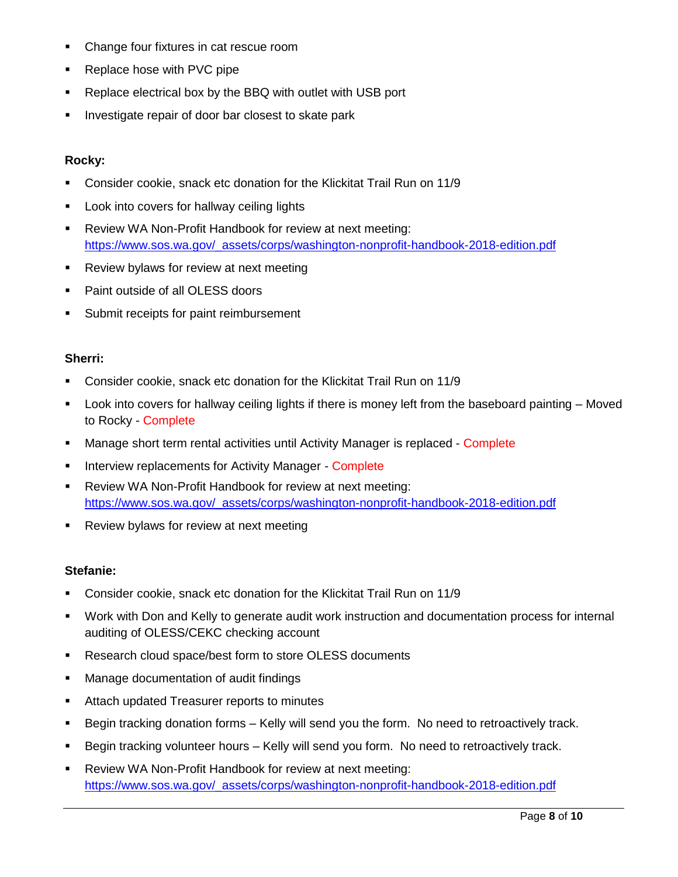- Change four fixtures in cat rescue room
- Replace hose with PVC pipe
- Replace electrical box by the BBQ with outlet with USB port
- **Investigate repair of door bar closest to skate park**

#### **Rocky:**

- Consider cookie, snack etc donation for the Klickitat Trail Run on 11/9
- **Look into covers for hallway ceiling lights**
- Review WA Non-Profit Handbook for review at next meeting: [https://www.sos.wa.gov/\\_assets/corps/washington-nonprofit-handbook-2018-edition.pdf](https://www.sos.wa.gov/_assets/corps/washington-nonprofit-handbook-2018-edition.pdf)
- **Review bylaws for review at next meeting**
- **Paint outside of all OLESS doors**
- **Submit receipts for paint reimbursement**

#### **Sherri:**

- Consider cookie, snack etc donation for the Klickitat Trail Run on 11/9
- Look into covers for hallway ceiling lights if there is money left from the baseboard painting Moved to Rocky - Complete
- **Manage short term rental activities until Activity Manager is replaced Complete**
- **Interview replacements for Activity Manager Complete**
- Review WA Non-Profit Handbook for review at next meeting: [https://www.sos.wa.gov/\\_assets/corps/washington-nonprofit-handbook-2018-edition.pdf](https://www.sos.wa.gov/_assets/corps/washington-nonprofit-handbook-2018-edition.pdf)
- **Review bylaws for review at next meeting**

#### **Stefanie:**

- Consider cookie, snack etc donation for the Klickitat Trail Run on 11/9
- Work with Don and Kelly to generate audit work instruction and documentation process for internal auditing of OLESS/CEKC checking account
- **Research cloud space/best form to store OLESS documents**
- **Manage documentation of audit findings**
- **EXEC** Attach updated Treasurer reports to minutes
- Begin tracking donation forms Kelly will send you the form. No need to retroactively track.
- Begin tracking volunteer hours Kelly will send you form. No need to retroactively track.
- Review WA Non-Profit Handbook for review at next meeting: [https://www.sos.wa.gov/\\_assets/corps/washington-nonprofit-handbook-2018-edition.pdf](https://www.sos.wa.gov/_assets/corps/washington-nonprofit-handbook-2018-edition.pdf)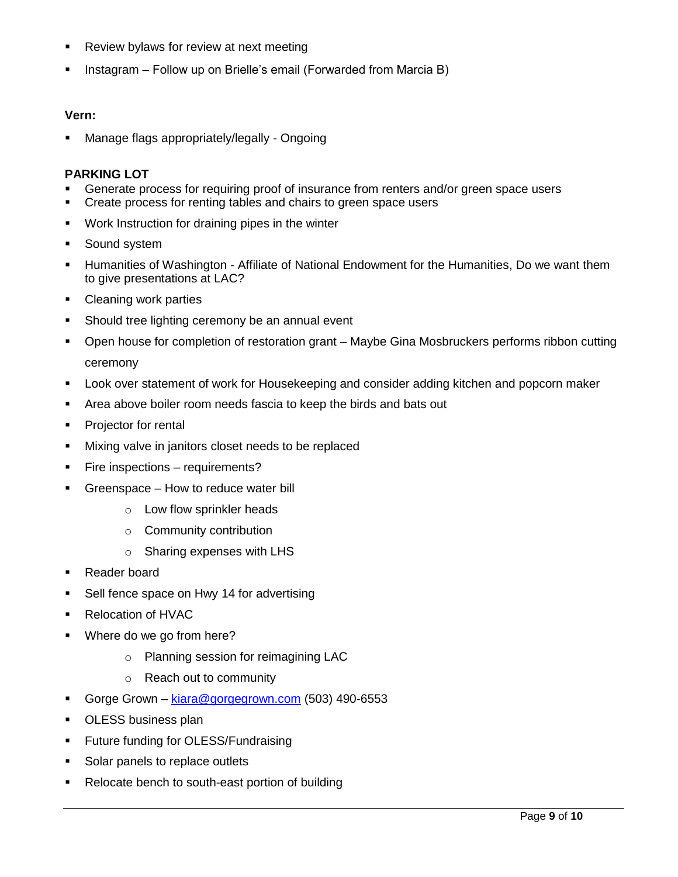- **Review bylaws for review at next meeting**
- **Instagram Follow up on Brielle's email (Forwarded from Marcia B)**

## **Vern:**

Manage flags appropriately/legally - Ongoing

## **PARKING LOT**

- Generate process for requiring proof of insurance from renters and/or green space users
- **Create process for renting tables and chairs to green space users**
- **Work Instruction for draining pipes in the winter**
- **Sound system**
- Humanities of Washington Affiliate of National Endowment for the Humanities, Do we want them to give presentations at LAC?
- Cleaning work parties
- **Should tree lighting ceremony be an annual event**
- Open house for completion of restoration grant Maybe Gina Mosbruckers performs ribbon cutting ceremony
- **EXED** Look over statement of work for Housekeeping and consider adding kitchen and popcorn maker
- Area above boiler room needs fascia to keep the birds and bats out
- **Projector for rental**
- **Mixing valve in janitors closet needs to be replaced**
- **Fire inspections requirements?**
- Greenspace How to reduce water bill
	- o Low flow sprinkler heads
	- o Community contribution
	- o Sharing expenses with LHS
- **Reader board**
- Sell fence space on Hwy 14 for advertising
- Relocation of HVAC
- **Where do we go from here?** 
	- o Planning session for reimagining LAC
	- o Reach out to community
- Gorge Grown [kiara@gorgegrown.com](mailto:kiara@gorgegrown.com) (503) 490-6553
- **DESS business plan**
- **Future funding for OLESS/Fundraising**
- **Solar panels to replace outlets**
- Relocate bench to south-east portion of building